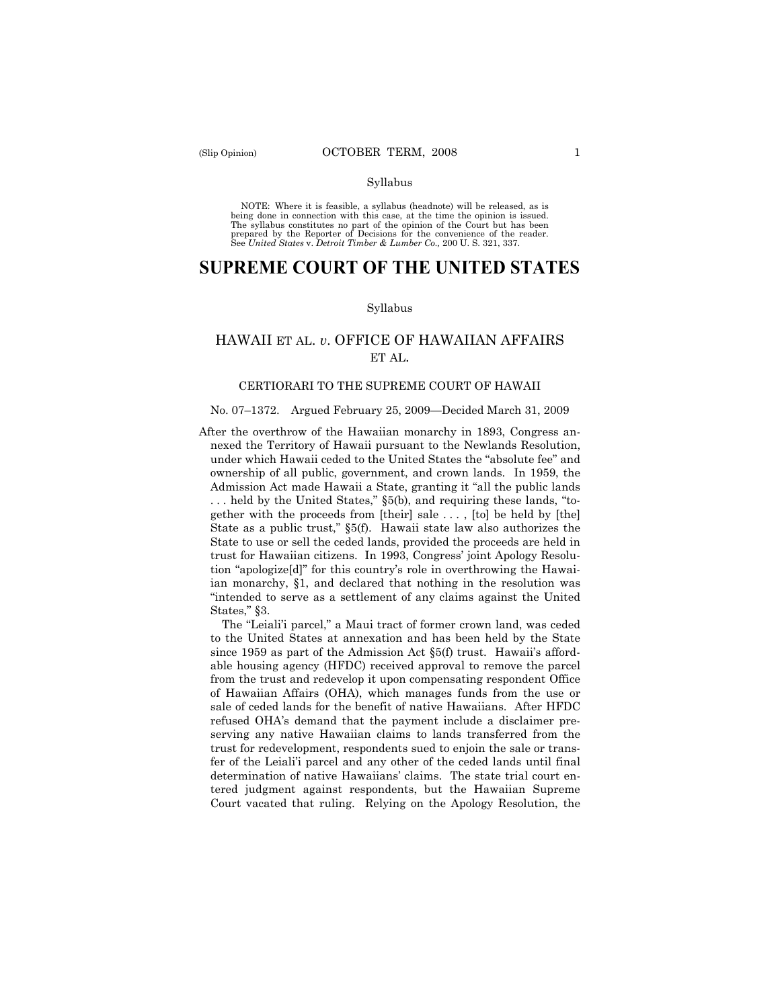#### Syllabus

NOTE: Where it is feasible, a syllabus (headnote) will be released, as is being done in connection with this case, at the time the opinion is issued. The syllabus constitutes no part of the opinion of the Court but has been<br>prepared by the Reporter of Decisions for the convenience of the reader.<br>See United States v. Detroit Timber & Lumber Co., 200 U. S. 321, 337.

# **SUPREME COURT OF THE UNITED STATES**

#### Syllabus

## HAWAII ET AL. *v*. OFFICE OF HAWAIIAN AFFAIRS ET AL.

## CERTIORARI TO THE SUPREME COURT OF HAWAII

#### No. 07–1372. Argued February 25, 2009—Decided March 31, 2009

After the overthrow of the Hawaiian monarchy in 1893, Congress annexed the Territory of Hawaii pursuant to the Newlands Resolution, under which Hawaii ceded to the United States the "absolute fee" and ownership of all public, government, and crown lands. In 1959, the Admission Act made Hawaii a State, granting it "all the public lands . . . held by the United States," §5(b), and requiring these lands, "together with the proceeds from [their] sale . . . , [to] be held by [the] State as a public trust," §5(f). Hawaii state law also authorizes the State to use or sell the ceded lands, provided the proceeds are held in trust for Hawaiian citizens. In 1993, Congress' joint Apology Resolution "apologize[d]" for this country's role in overthrowing the Hawaiian monarchy, §1, and declared that nothing in the resolution was "intended to serve as a settlement of any claims against the United States," §3.

The "Leiali'i parcel," a Maui tract of former crown land, was ceded to the United States at annexation and has been held by the State since 1959 as part of the Admission Act §5(f) trust. Hawaii's affordable housing agency (HFDC) received approval to remove the parcel from the trust and redevelop it upon compensating respondent Office of Hawaiian Affairs (OHA), which manages funds from the use or sale of ceded lands for the benefit of native Hawaiians. After HFDC refused OHA's demand that the payment include a disclaimer preserving any native Hawaiian claims to lands transferred from the trust for redevelopment, respondents sued to enjoin the sale or transfer of the Leiali'i parcel and any other of the ceded lands until final determination of native Hawaiians' claims. The state trial court entered judgment against respondents, but the Hawaiian Supreme Court vacated that ruling. Relying on the Apology Resolution, the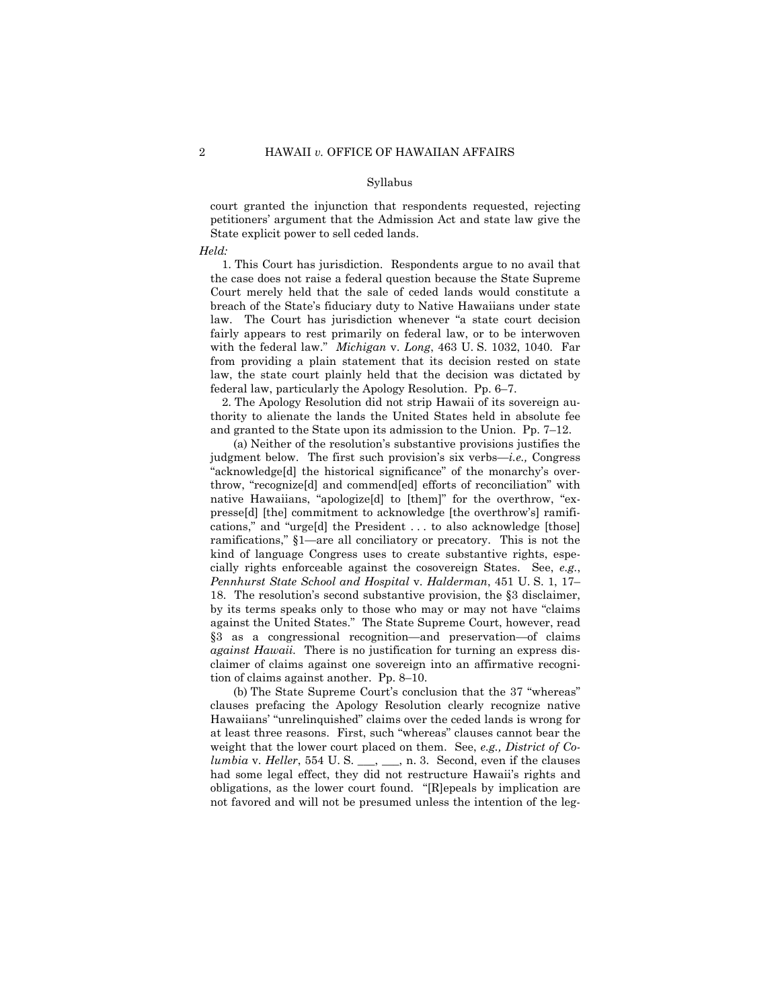#### Syllabus

court granted the injunction that respondents requested, rejecting petitioners' argument that the Admission Act and state law give the State explicit power to sell ceded lands.

*Held:* 

1. This Court has jurisdiction. Respondents argue to no avail that the case does not raise a federal question because the State Supreme Court merely held that the sale of ceded lands would constitute a breach of the State's fiduciary duty to Native Hawaiians under state law. The Court has jurisdiction whenever "a state court decision fairly appears to rest primarily on federal law, or to be interwoven with the federal law." *Michigan* v. *Long*, 463 U. S. 1032, 1040. Far from providing a plain statement that its decision rested on state law, the state court plainly held that the decision was dictated by federal law, particularly the Apology Resolution. Pp. 6–7.

2. The Apology Resolution did not strip Hawaii of its sovereign authority to alienate the lands the United States held in absolute fee and granted to the State upon its admission to the Union. Pp. 7–12.

(a) Neither of the resolution's substantive provisions justifies the judgment below. The first such provision's six verbs—*i.e.,* Congress "acknowledge[d] the historical significance" of the monarchy's overthrow, "recognize[d] and commend[ed] efforts of reconciliation" with native Hawaiians, "apologize[d] to [them]" for the overthrow, "expresse[d] [the] commitment to acknowledge [the overthrow's] ramifications," and "urge[d] the President . . . to also acknowledge [those] ramifications," §1—are all conciliatory or precatory. This is not the kind of language Congress uses to create substantive rights, especially rights enforceable against the cosovereign States. See, *e.g.*, *Pennhurst State School and Hospital* v. *Halderman*, 451 U. S. 1, 17– 18. The resolution's second substantive provision, the §3 disclaimer, by its terms speaks only to those who may or may not have "claims against the United States." The State Supreme Court, however, read §3 as a congressional recognition—and preservation—of claims *against Hawaii.* There is no justification for turning an express disclaimer of claims against one sovereign into an affirmative recognition of claims against another. Pp. 8–10.

(b) The State Supreme Court's conclusion that the 37 "whereas" clauses prefacing the Apology Resolution clearly recognize native Hawaiians' "unrelinquished" claims over the ceded lands is wrong for at least three reasons. First, such "whereas" clauses cannot bear the weight that the lower court placed on them. See, *e.g., District of Columbia v. Heller*, 554 U. S. \_\_, \_\_, n. 3. Second, even if the clauses had some legal effect, they did not restructure Hawaii's rights and obligations, as the lower court found. "[R]epeals by implication are not favored and will not be presumed unless the intention of the leg-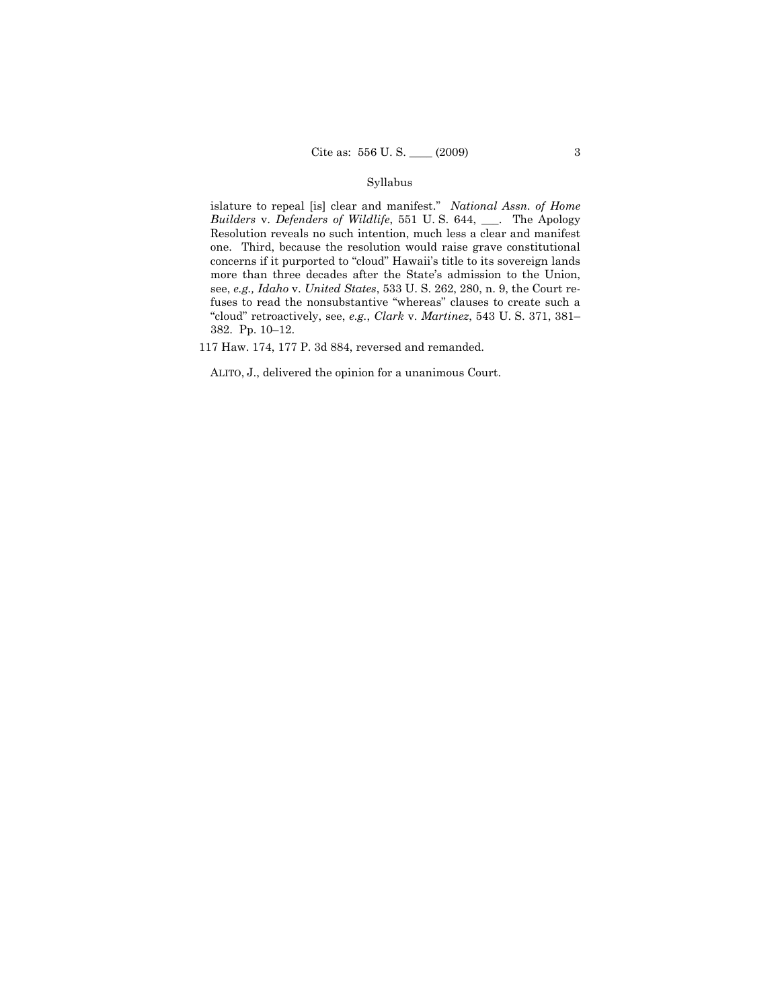## Syllabus

islature to repeal [is] clear and manifest." *National Assn. of Home Builders* v. *Defenders of Wildlife*, 551 U. S. 644, \_\_\_. The Apology Resolution reveals no such intention, much less a clear and manifest one. Third, because the resolution would raise grave constitutional concerns if it purported to "cloud" Hawaii's title to its sovereign lands more than three decades after the State's admission to the Union, see, *e.g., Idaho* v. *United States*, 533 U. S. 262, 280, n. 9, the Court refuses to read the nonsubstantive "whereas" clauses to create such a "cloud" retroactively, see, *e.g.*, *Clark* v. *Martinez*, 543 U. S. 371, 381– 382. Pp. 10–12.

117 Haw. 174, 177 P. 3d 884, reversed and remanded.

ALITO, J., delivered the opinion for a unanimous Court.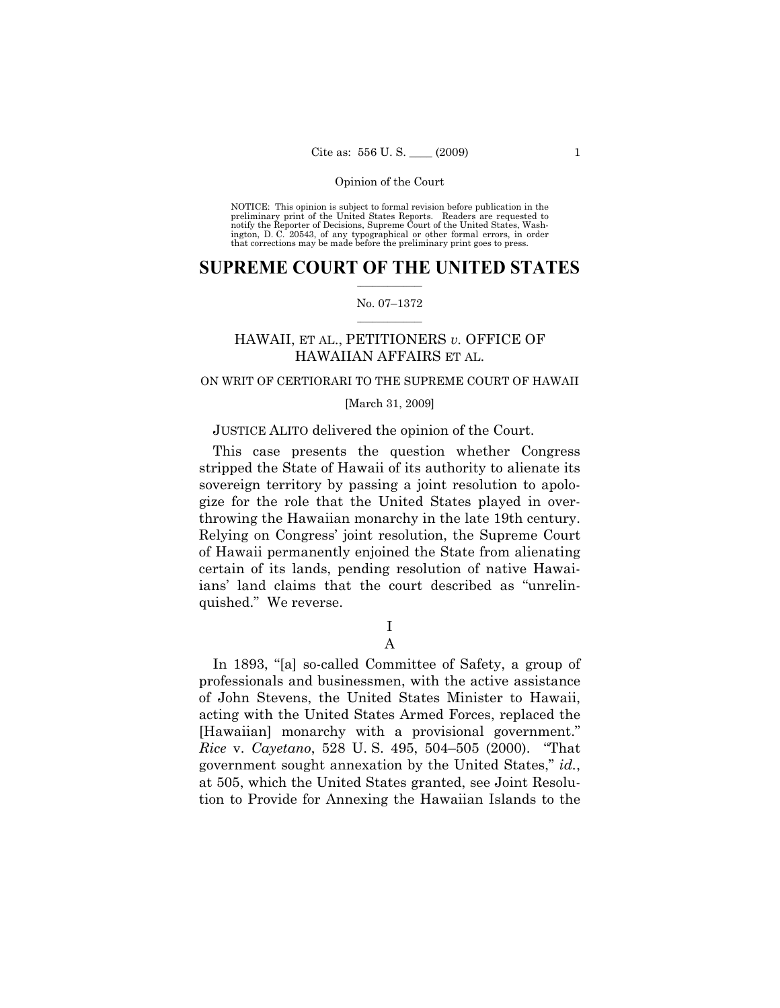NOTICE: This opinion is subject to formal revision before publication in the preliminary print of the United States Reports. Readers are requested to notify the Reporter of Decisions, Supreme Court of the United States, Washington, D. C. 20543, of any typographical or other formal errors, in order that corrections may be made before the preliminary print goes to press.

## $\frac{1}{2}$  ,  $\frac{1}{2}$  ,  $\frac{1}{2}$  ,  $\frac{1}{2}$  ,  $\frac{1}{2}$  ,  $\frac{1}{2}$  ,  $\frac{1}{2}$ **SUPREME COURT OF THE UNITED STATES**

#### $\frac{1}{2}$  ,  $\frac{1}{2}$  ,  $\frac{1}{2}$  ,  $\frac{1}{2}$  ,  $\frac{1}{2}$  ,  $\frac{1}{2}$ No. 07–1372

## HAWAII, ET AL., PETITIONERS *v.* OFFICE OF HAWAIIAN AFFAIRS ET AL.

## ON WRIT OF CERTIORARI TO THE SUPREME COURT OF HAWAII

## [March 31, 2009]

## JUSTICE ALITO delivered the opinion of the Court.

This case presents the question whether Congress stripped the State of Hawaii of its authority to alienate its sovereign territory by passing a joint resolution to apologize for the role that the United States played in overthrowing the Hawaiian monarchy in the late 19th century. Relying on Congress' joint resolution, the Supreme Court of Hawaii permanently enjoined the State from alienating certain of its lands, pending resolution of native Hawaiians' land claims that the court described as "unrelinquished." We reverse.

## I A

In 1893, "[a] so-called Committee of Safety, a group of professionals and businessmen, with the active assistance of John Stevens, the United States Minister to Hawaii, acting with the United States Armed Forces, replaced the [Hawaiian] monarchy with a provisional government." *Rice* v. *Cayetano*, 528 U. S. 495, 504–505 (2000). "That government sought annexation by the United States," *id.*, at 505, which the United States granted, see Joint Resolution to Provide for Annexing the Hawaiian Islands to the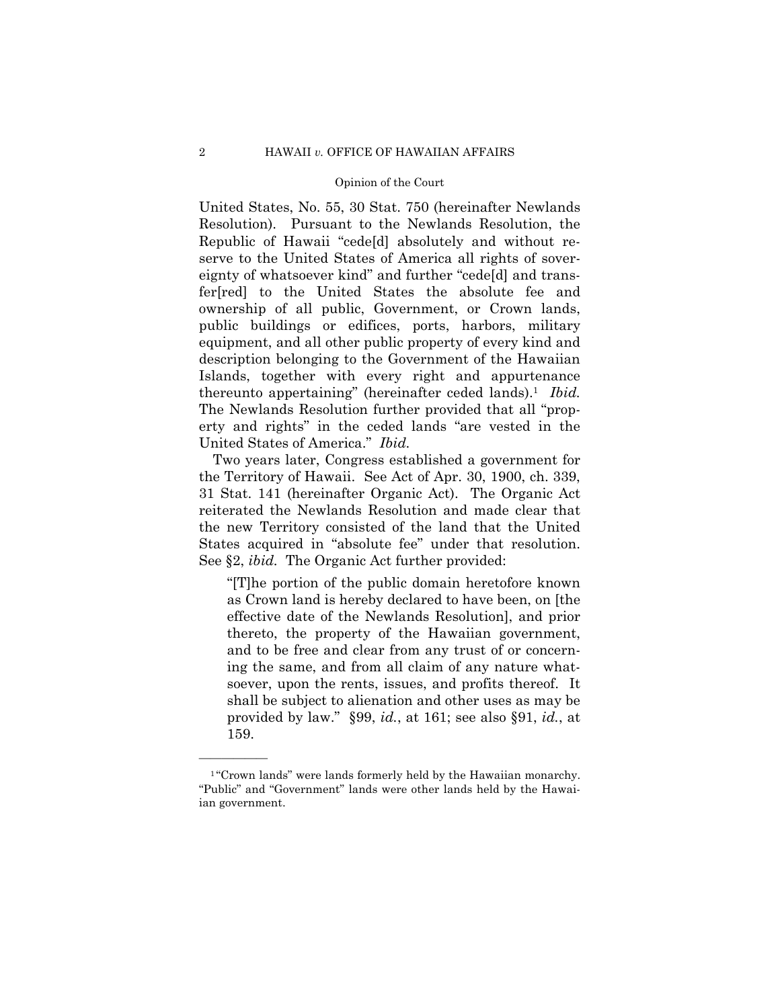United States, No. 55, 30 Stat. 750 (hereinafter Newlands Resolution). Pursuant to the Newlands Resolution, the Republic of Hawaii "cede[d] absolutely and without reserve to the United States of America all rights of sovereignty of whatsoever kind" and further "cede[d] and transfer[red] to the United States the absolute fee and ownership of all public, Government, or Crown lands, public buildings or edifices, ports, harbors, military equipment, and all other public property of every kind and description belonging to the Government of the Hawaiian Islands, together with every right and appurtenance thereunto appertaining" (hereinafter ceded lands).1 *Ibid.*  The Newlands Resolution further provided that all "property and rights" in the ceded lands "are vested in the United States of America." *Ibid.* 

Two years later, Congress established a government for the Territory of Hawaii. See Act of Apr. 30, 1900, ch. 339, 31 Stat. 141 (hereinafter Organic Act). The Organic Act reiterated the Newlands Resolution and made clear that the new Territory consisted of the land that the United States acquired in "absolute fee" under that resolution. See §2, *ibid.* The Organic Act further provided:

"[T]he portion of the public domain heretofore known as Crown land is hereby declared to have been, on [the effective date of the Newlands Resolution], and prior thereto, the property of the Hawaiian government, and to be free and clear from any trust of or concerning the same, and from all claim of any nature whatsoever, upon the rents, issues, and profits thereof. It shall be subject to alienation and other uses as may be provided by law." §99, *id.*, at 161; see also §91, *id.*, at 159.

<sup>&</sup>lt;sup>1</sup>"Crown lands" were lands formerly held by the Hawaiian monarchy. "Public" and "Government" lands were other lands held by the Hawaiian government.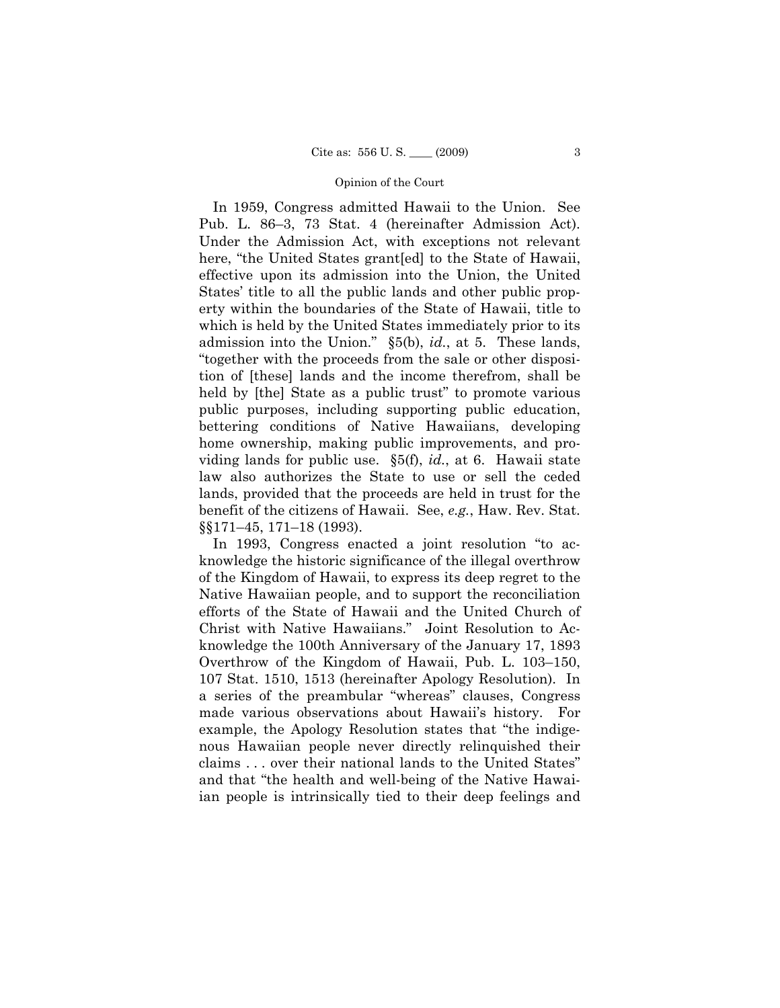In 1959, Congress admitted Hawaii to the Union. See Pub. L. 86–3, 73 Stat. 4 (hereinafter Admission Act). Under the Admission Act, with exceptions not relevant here, "the United States grant[ed] to the State of Hawaii, effective upon its admission into the Union, the United States' title to all the public lands and other public property within the boundaries of the State of Hawaii, title to which is held by the United States immediately prior to its admission into the Union." §5(b), *id.*, at 5. These lands, "together with the proceeds from the sale or other disposition of [these] lands and the income therefrom, shall be held by [the] State as a public trust" to promote various public purposes, including supporting public education, bettering conditions of Native Hawaiians, developing home ownership, making public improvements, and providing lands for public use. §5(f), *id.*, at 6. Hawaii state law also authorizes the State to use or sell the ceded lands, provided that the proceeds are held in trust for the benefit of the citizens of Hawaii. See, *e.g.*, Haw. Rev. Stat. §§171–45, 171–18 (1993).

In 1993, Congress enacted a joint resolution "to acknowledge the historic significance of the illegal overthrow of the Kingdom of Hawaii, to express its deep regret to the Native Hawaiian people, and to support the reconciliation efforts of the State of Hawaii and the United Church of Christ with Native Hawaiians." Joint Resolution to Acknowledge the 100th Anniversary of the January 17, 1893 Overthrow of the Kingdom of Hawaii, Pub. L. 103–150, 107 Stat. 1510, 1513 (hereinafter Apology Resolution). In a series of the preambular "whereas" clauses, Congress made various observations about Hawaii's history. For example, the Apology Resolution states that "the indigenous Hawaiian people never directly relinquished their claims . . . over their national lands to the United States" and that "the health and well-being of the Native Hawaiian people is intrinsically tied to their deep feelings and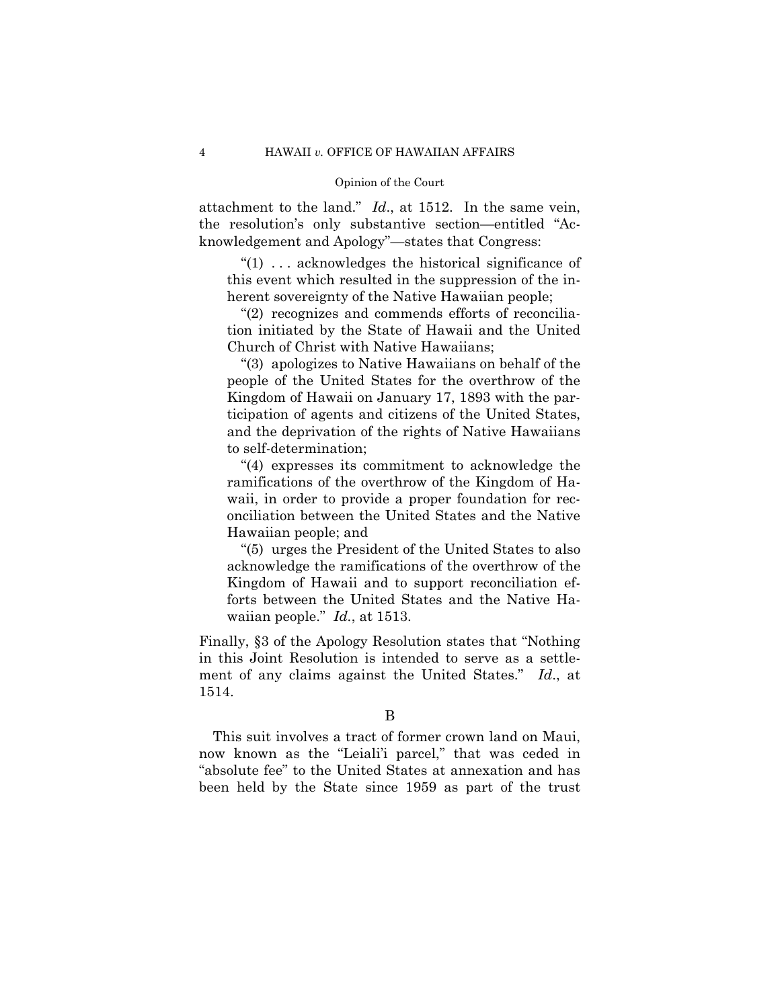attachment to the land." *Id*., at 1512. In the same vein, the resolution's only substantive section—entitled "Acknowledgement and Apology"—states that Congress:

"(1) . . . acknowledges the historical significance of this event which resulted in the suppression of the inherent sovereignty of the Native Hawaiian people;

"(2) recognizes and commends efforts of reconciliation initiated by the State of Hawaii and the United Church of Christ with Native Hawaiians;

"(3) apologizes to Native Hawaiians on behalf of the people of the United States for the overthrow of the Kingdom of Hawaii on January 17, 1893 with the participation of agents and citizens of the United States, and the deprivation of the rights of Native Hawaiians to self-determination;

"(4) expresses its commitment to acknowledge the ramifications of the overthrow of the Kingdom of Hawaii, in order to provide a proper foundation for reconciliation between the United States and the Native Hawaiian people; and

"(5) urges the President of the United States to also acknowledge the ramifications of the overthrow of the Kingdom of Hawaii and to support reconciliation efforts between the United States and the Native Hawaiian people." *Id.*, at 1513.

Finally, §3 of the Apology Resolution states that "Nothing in this Joint Resolution is intended to serve as a settlement of any claims against the United States." *Id*., at 1514.

This suit involves a tract of former crown land on Maui, now known as the "Leiali'i parcel," that was ceded in "absolute fee" to the United States at annexation and has been held by the State since 1959 as part of the trust

B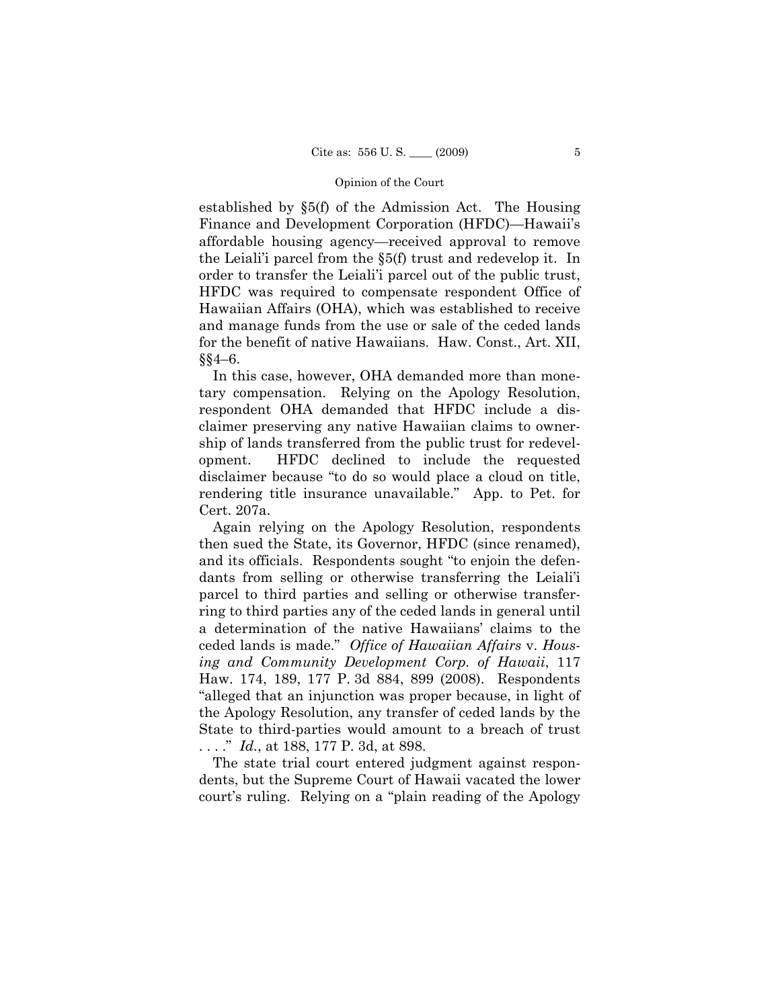established by §5(f) of the Admission Act. The Housing Finance and Development Corporation (HFDC)—Hawaii's affordable housing agency—received approval to remove the Leiali'i parcel from the §5(f) trust and redevelop it. In order to transfer the Leiali'i parcel out of the public trust, HFDC was required to compensate respondent Office of Hawaiian Affairs (OHA), which was established to receive and manage funds from the use or sale of the ceded lands for the benefit of native Hawaiians. Haw. Const., Art. XII, §§4–6.

In this case, however, OHA demanded more than monetary compensation. Relying on the Apology Resolution, respondent OHA demanded that HFDC include a disclaimer preserving any native Hawaiian claims to ownership of lands transferred from the public trust for redevelopment. HFDC declined to include the requested disclaimer because "to do so would place a cloud on title, rendering title insurance unavailable." App. to Pet. for Cert. 207a.

Again relying on the Apology Resolution, respondents then sued the State, its Governor, HFDC (since renamed), and its officials. Respondents sought "to enjoin the defendants from selling or otherwise transferring the Leiali'i parcel to third parties and selling or otherwise transferring to third parties any of the ceded lands in general until a determination of the native Hawaiians' claims to the ceded lands is made." *Office of Hawaiian Affairs* v. *Housing and Community Development Corp. of Hawaii*, 117 Haw. 174, 189, 177 P. 3d 884, 899 (2008). Respondents "alleged that an injunction was proper because, in light of the Apology Resolution, any transfer of ceded lands by the State to third-parties would amount to a breach of trust . . . ." *Id.*, at 188, 177 P. 3d, at 898.

The state trial court entered judgment against respondents, but the Supreme Court of Hawaii vacated the lower court's ruling. Relying on a "plain reading of the Apology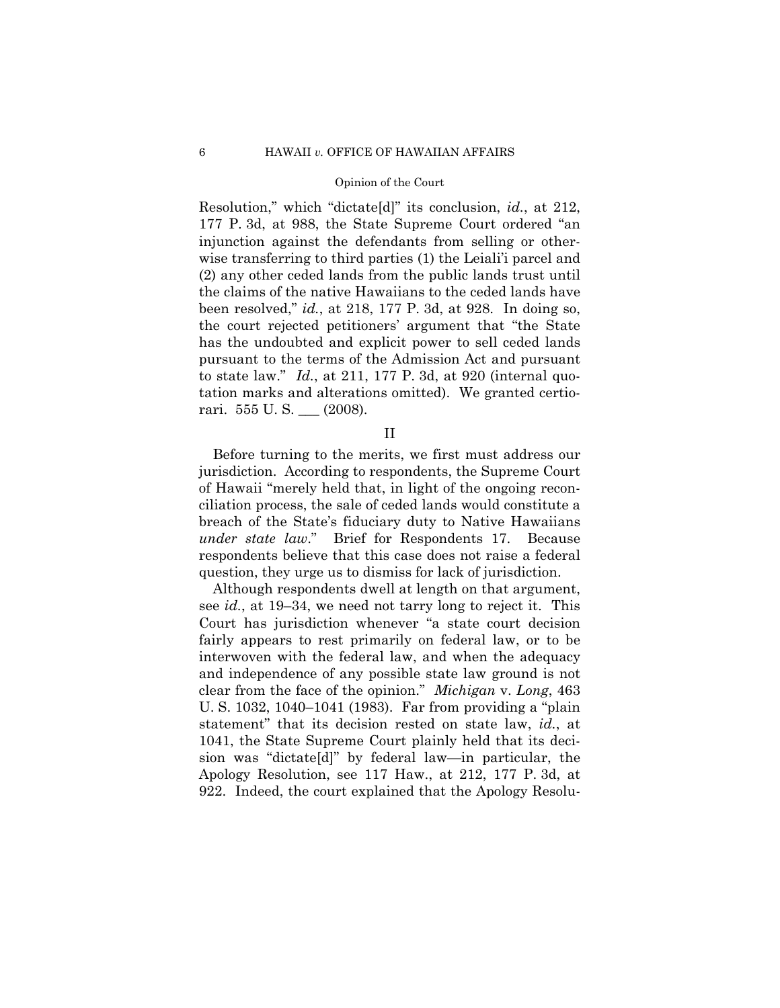#### 6 HAWAII *v.* OFFICE OF HAWAIIAN AFFAIRS

#### Opinion of the Court

Resolution," which "dictate[d]" its conclusion, *id.*, at 212, 177 P. 3d, at 988, the State Supreme Court ordered "an injunction against the defendants from selling or otherwise transferring to third parties (1) the Leiali'i parcel and (2) any other ceded lands from the public lands trust until the claims of the native Hawaiians to the ceded lands have been resolved," *id.*, at 218, 177 P. 3d, at 928. In doing so, the court rejected petitioners' argument that "the State has the undoubted and explicit power to sell ceded lands pursuant to the terms of the Admission Act and pursuant to state law." *Id.*, at 211, 177 P. 3d, at 920 (internal quotation marks and alterations omitted). We granted certiorari. 555 U. S. \_\_\_ (2008).

II

Before turning to the merits, we first must address our jurisdiction. According to respondents, the Supreme Court of Hawaii "merely held that, in light of the ongoing reconciliation process, the sale of ceded lands would constitute a breach of the State's fiduciary duty to Native Hawaiians *under state law*." Brief for Respondents 17. Because respondents believe that this case does not raise a federal question, they urge us to dismiss for lack of jurisdiction.

Although respondents dwell at length on that argument, see *id.*, at 19–34, we need not tarry long to reject it. This Court has jurisdiction whenever "a state court decision fairly appears to rest primarily on federal law, or to be interwoven with the federal law, and when the adequacy and independence of any possible state law ground is not clear from the face of the opinion." *Michigan* v. *Long*, 463 U. S. 1032, 1040–1041 (1983). Far from providing a "plain statement" that its decision rested on state law, *id.*, at 1041, the State Supreme Court plainly held that its decision was "dictate[d]" by federal law—in particular, the Apology Resolution, see 117 Haw., at 212, 177 P. 3d, at 922. Indeed, the court explained that the Apology Resolu-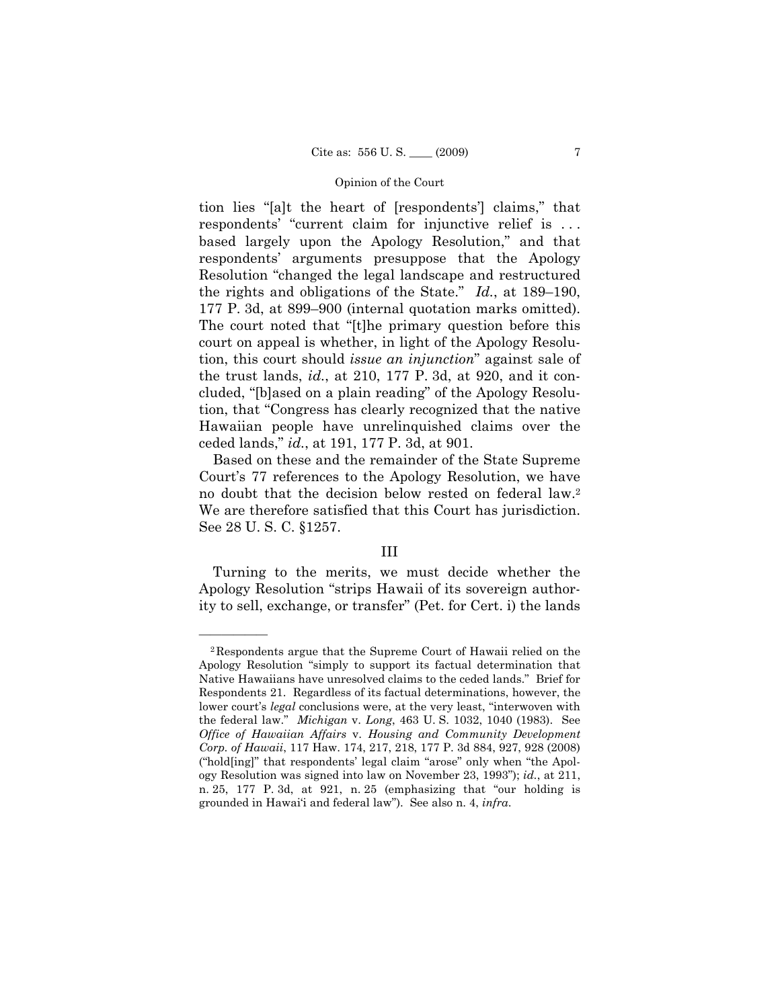tion lies "[a]t the heart of [respondents'] claims," that respondents' "current claim for injunctive relief is . . . based largely upon the Apology Resolution," and that respondents' arguments presuppose that the Apology Resolution "changed the legal landscape and restructured the rights and obligations of the State." *Id.*, at 189–190, 177 P. 3d, at 899–900 (internal quotation marks omitted). The court noted that "[t]he primary question before this court on appeal is whether, in light of the Apology Resolution, this court should *issue an injunction*" against sale of the trust lands, *id.*, at 210, 177 P. 3d, at 920, and it concluded, "[b]ased on a plain reading" of the Apology Resolution, that "Congress has clearly recognized that the native Hawaiian people have unrelinquished claims over the ceded lands," *id.*, at 191, 177 P. 3d, at 901.

Based on these and the remainder of the State Supreme Court's 77 references to the Apology Resolution, we have no doubt that the decision below rested on federal law.2 We are therefore satisfied that this Court has jurisdiction. See 28 U. S. C. §1257.

#### III

Turning to the merits, we must decide whether the Apology Resolution "strips Hawaii of its sovereign authority to sell, exchange, or transfer" (Pet. for Cert. i) the lands

<sup>2</sup>Respondents argue that the Supreme Court of Hawaii relied on the Apology Resolution "simply to support its factual determination that Native Hawaiians have unresolved claims to the ceded lands." Brief for Respondents 21. Regardless of its factual determinations, however, the lower court's *legal* conclusions were, at the very least, "interwoven with the federal law." *Michigan* v. *Long*, 463 U. S. 1032, 1040 (1983). See *Office of Hawaiian Affairs* v. *Housing and Community Development Corp. of Hawaii*, 117 Haw. 174, 217, 218, 177 P. 3d 884, 927, 928 (2008) ("hold[ing]" that respondents' legal claim "arose" only when "the Apology Resolution was signed into law on November 23, 1993"); *id.*, at 211, n. 25, 177 P. 3d, at 921, n. 25 (emphasizing that "our holding is grounded in Hawai'i and federal law"). See also n. 4, *infra*.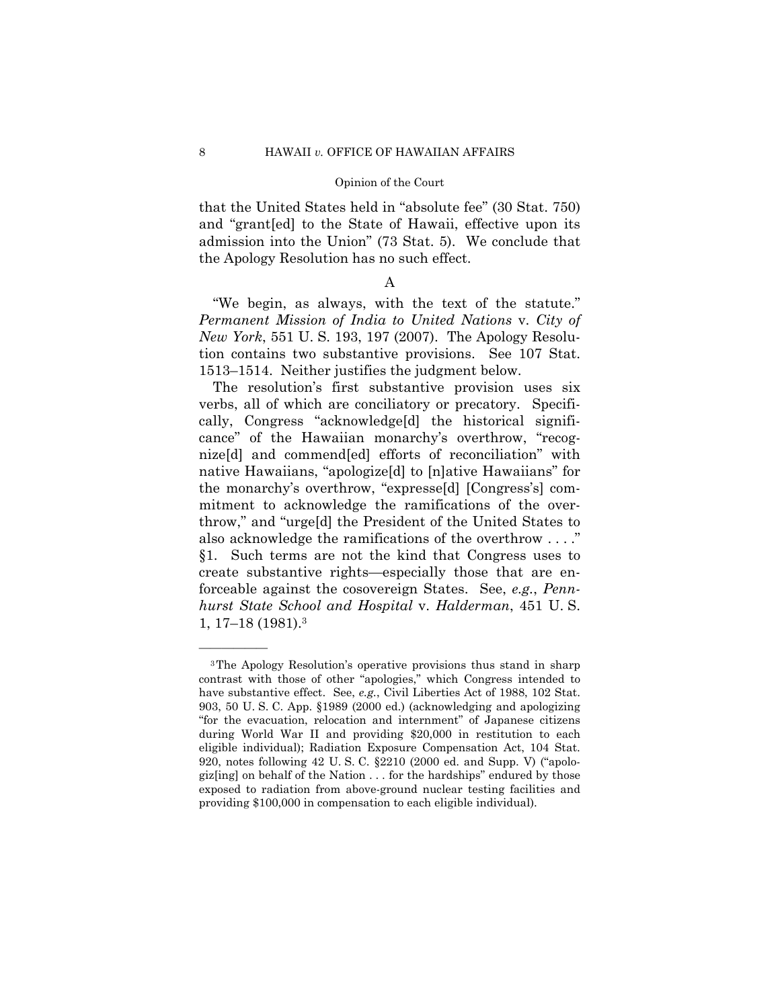that the United States held in "absolute fee" (30 Stat. 750) and "grant[ed] to the State of Hawaii, effective upon its admission into the Union" (73 Stat. 5). We conclude that the Apology Resolution has no such effect.

## A

"We begin, as always, with the text of the statute." *Permanent Mission of India to United Nations* v. *City of New York*, 551 U. S. 193, 197 (2007). The Apology Resolution contains two substantive provisions. See 107 Stat. 1513–1514. Neither justifies the judgment below.

The resolution's first substantive provision uses six verbs, all of which are conciliatory or precatory. Specifically, Congress "acknowledge[d] the historical significance" of the Hawaiian monarchy's overthrow, "recognize[d] and commend[ed] efforts of reconciliation" with native Hawaiians, "apologize[d] to [n]ative Hawaiians" for the monarchy's overthrow, "expresse[d] [Congress's] commitment to acknowledge the ramifications of the overthrow," and "urge[d] the President of the United States to also acknowledge the ramifications of the overthrow . . . ." §1. Such terms are not the kind that Congress uses to create substantive rights—especially those that are enforceable against the cosovereign States. See, *e.g.*, *Pennhurst State School and Hospital* v. *Halderman*, 451 U. S. 1, 17–18 (1981).3

<sup>3</sup>The Apology Resolution's operative provisions thus stand in sharp contrast with those of other "apologies," which Congress intended to have substantive effect. See, *e.g.*, Civil Liberties Act of 1988, 102 Stat. 903, 50 U. S. C. App. §1989 (2000 ed.) (acknowledging and apologizing "for the evacuation, relocation and internment" of Japanese citizens during World War II and providing \$20,000 in restitution to each eligible individual); Radiation Exposure Compensation Act, 104 Stat. 920, notes following 42 U. S. C. §2210 (2000 ed. and Supp. V) ("apologiz[ing] on behalf of the Nation . . . for the hardships" endured by those exposed to radiation from above-ground nuclear testing facilities and providing \$100,000 in compensation to each eligible individual).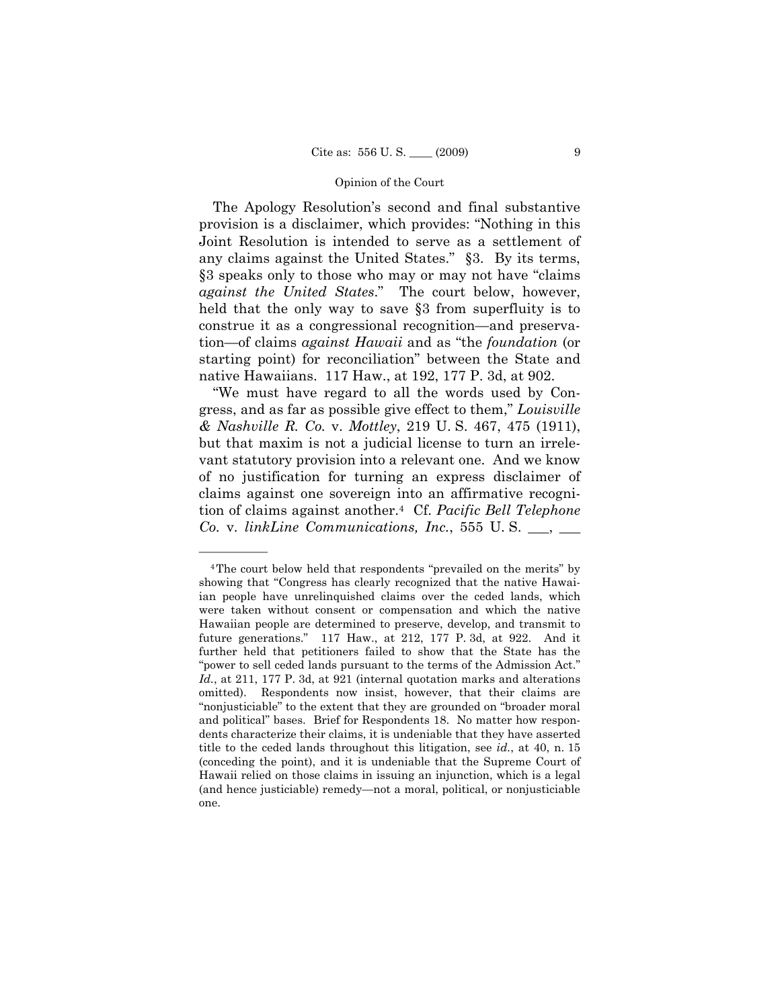The Apology Resolution's second and final substantive provision is a disclaimer, which provides: "Nothing in this Joint Resolution is intended to serve as a settlement of any claims against the United States." §3. By its terms, §3 speaks only to those who may or may not have "claims *against the United States*." The court below, however, held that the only way to save §3 from superfluity is to construe it as a congressional recognition—and preservation—of claims *against Hawaii* and as "the *foundation* (or starting point) for reconciliation" between the State and native Hawaiians. 117 Haw., at 192, 177 P. 3d, at 902.

"We must have regard to all the words used by Congress, and as far as possible give effect to them," *Louisville & Nashville R. Co.* v. *Mottley*, 219 U. S. 467, 475 (1911), but that maxim is not a judicial license to turn an irrelevant statutory provision into a relevant one. And we know of no justification for turning an express disclaimer of claims against one sovereign into an affirmative recognition of claims against another.4 Cf. *Pacific Bell Telephone Co.* v. *linkLine Communications, Inc.*, 555 U. S. \_\_\_, \_\_\_

<sup>4</sup>The court below held that respondents "prevailed on the merits" by showing that "Congress has clearly recognized that the native Hawaiian people have unrelinquished claims over the ceded lands, which were taken without consent or compensation and which the native Hawaiian people are determined to preserve, develop, and transmit to future generations." 117 Haw., at 212, 177 P. 3d, at 922. And it further held that petitioners failed to show that the State has the "power to sell ceded lands pursuant to the terms of the Admission Act." *Id.*, at 211, 177 P. 3d, at 921 (internal quotation marks and alterations omitted). Respondents now insist, however, that their claims are "nonjusticiable" to the extent that they are grounded on "broader moral and political" bases. Brief for Respondents 18. No matter how respondents characterize their claims, it is undeniable that they have asserted title to the ceded lands throughout this litigation, see *id.*, at 40, n. 15 (conceding the point), and it is undeniable that the Supreme Court of Hawaii relied on those claims in issuing an injunction, which is a legal (and hence justiciable) remedy—not a moral, political, or nonjusticiable one.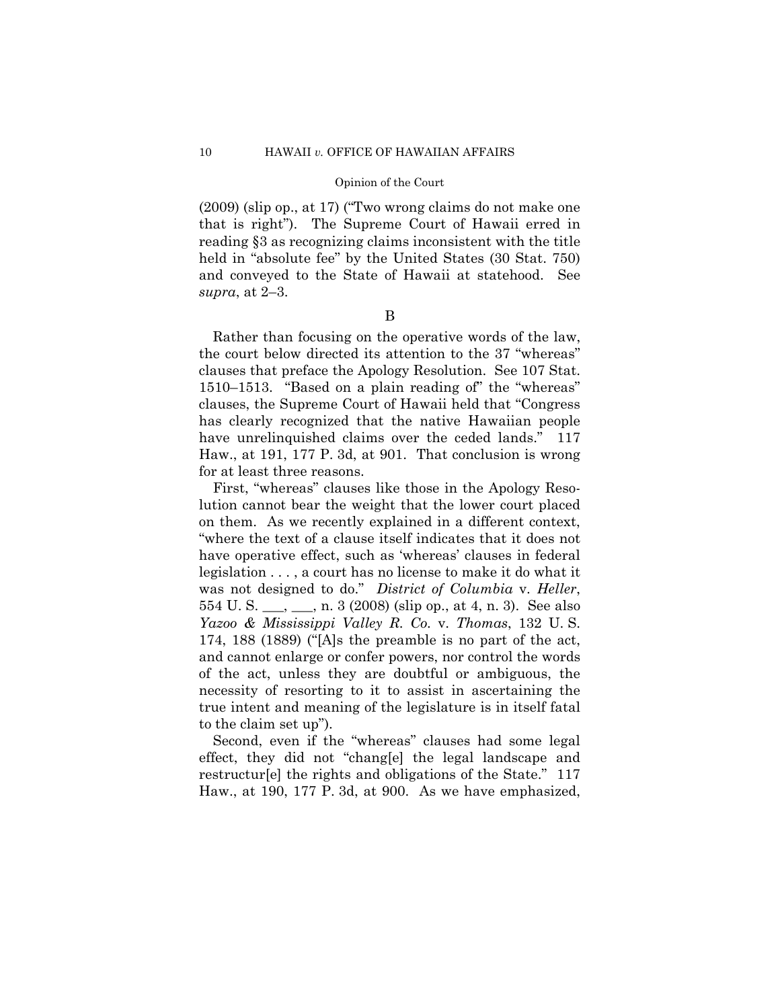(2009) (slip op., at 17) ("Two wrong claims do not make one that is right"). The Supreme Court of Hawaii erred in reading §3 as recognizing claims inconsistent with the title held in "absolute fee" by the United States (30 Stat. 750) and conveyed to the State of Hawaii at statehood. See *supra*, at 2–3.

B

Rather than focusing on the operative words of the law, the court below directed its attention to the 37 "whereas" clauses that preface the Apology Resolution. See 107 Stat. 1510–1513. "Based on a plain reading of" the "whereas" clauses, the Supreme Court of Hawaii held that "Congress has clearly recognized that the native Hawaiian people have unrelinquished claims over the ceded lands." 117 Haw., at 191, 177 P. 3d, at 901. That conclusion is wrong for at least three reasons.

First, "whereas" clauses like those in the Apology Resolution cannot bear the weight that the lower court placed on them. As we recently explained in a different context, "where the text of a clause itself indicates that it does not have operative effect, such as 'whereas' clauses in federal legislation . . . , a court has no license to make it do what it was not designed to do." *District of Columbia* v. *Heller*, 554 U. S. \_\_\_, \_\_\_, n. 3 (2008) (slip op., at 4, n. 3). See also *Yazoo & Mississippi Valley R. Co.* v. *Thomas*, 132 U. S. 174, 188 (1889) ("[A]s the preamble is no part of the act, and cannot enlarge or confer powers, nor control the words of the act, unless they are doubtful or ambiguous, the necessity of resorting to it to assist in ascertaining the true intent and meaning of the legislature is in itself fatal to the claim set up").

Second, even if the "whereas" clauses had some legal effect, they did not "chang[e] the legal landscape and restructur[e] the rights and obligations of the State." 117 Haw., at 190, 177 P. 3d, at 900. As we have emphasized,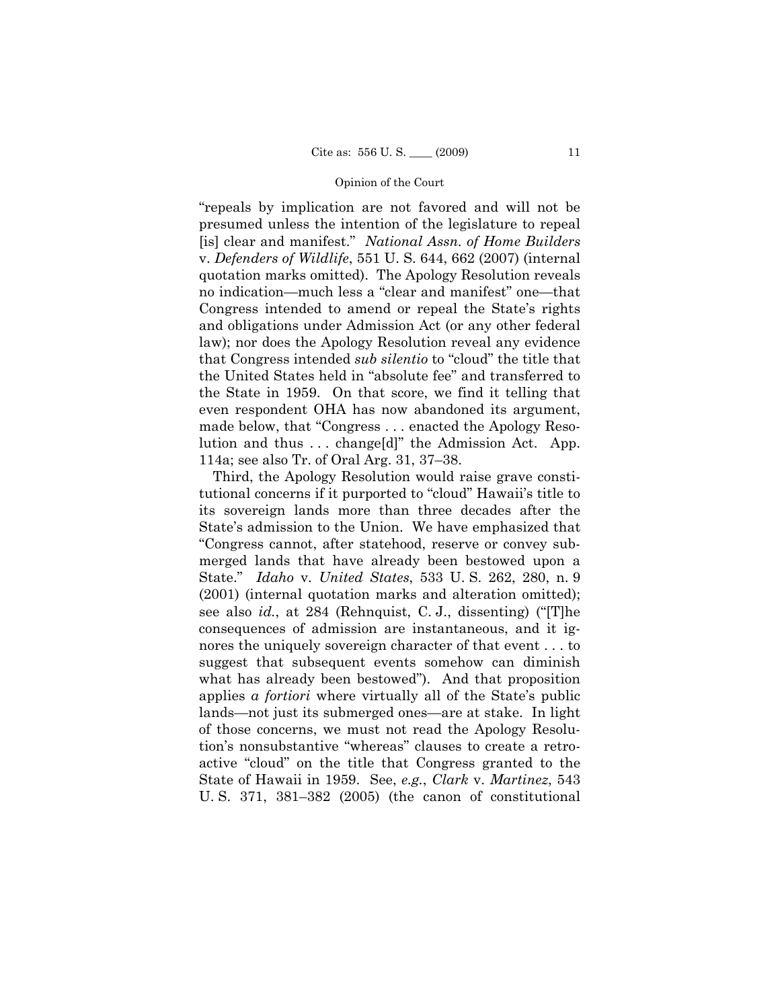"repeals by implication are not favored and will not be presumed unless the intention of the legislature to repeal [is] clear and manifest." *National Assn. of Home Builders*  v. *Defenders of Wildlife*, 551 U. S. 644, 662 (2007) (internal quotation marks omitted). The Apology Resolution reveals no indication—much less a "clear and manifest" one—that Congress intended to amend or repeal the State's rights and obligations under Admission Act (or any other federal law); nor does the Apology Resolution reveal any evidence that Congress intended *sub silentio* to "cloud" the title that the United States held in "absolute fee" and transferred to the State in 1959. On that score, we find it telling that even respondent OHA has now abandoned its argument, made below, that "Congress . . . enacted the Apology Resolution and thus . . . change[d]" the Admission Act. App. 114a; see also Tr. of Oral Arg. 31, 37–38.

Third, the Apology Resolution would raise grave constitutional concerns if it purported to "cloud" Hawaii's title to its sovereign lands more than three decades after the State's admission to the Union. We have emphasized that "Congress cannot, after statehood, reserve or convey submerged lands that have already been bestowed upon a State." *Idaho* v. *United States*, 533 U. S. 262, 280, n. 9 (2001) (internal quotation marks and alteration omitted); see also *id.*, at 284 (Rehnquist, C. J., dissenting) ("[T]he consequences of admission are instantaneous, and it ignores the uniquely sovereign character of that event . . . to suggest that subsequent events somehow can diminish what has already been bestowed"). And that proposition applies *a fortiori* where virtually all of the State's public lands—not just its submerged ones—are at stake. In light of those concerns, we must not read the Apology Resolution's nonsubstantive "whereas" clauses to create a retroactive "cloud" on the title that Congress granted to the State of Hawaii in 1959. See, *e.g.*, *Clark* v. *Martinez*, 543 U. S. 371, 381–382 (2005) (the canon of constitutional